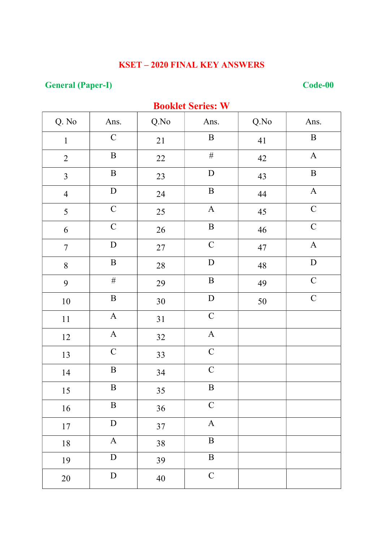# **General (Paper-I)**

#### $Code-00$

| <b>DUUKICL SCLICS.</b> W |              |        |                           |      |              |  |  |
|--------------------------|--------------|--------|---------------------------|------|--------------|--|--|
| Q. No                    | Ans.         | Q.No   | Ans.                      | Q.No | Ans.         |  |  |
| $\mathbf 1$              | $\mathbf C$  | 21     | $\, {\bf B}$              | 41   | $\, {\bf B}$ |  |  |
| $\sqrt{2}$               | $\, {\bf B}$ | 22     | $\#$                      | 42   | $\mathbf{A}$ |  |  |
| $\overline{3}$           | $\, {\bf B}$ | 23     | ${\bf D}$                 | 43   | $\, {\bf B}$ |  |  |
| $\overline{4}$           | ${\bf D}$    | 24     | $\, {\bf B}$              | 44   | $\mathbf A$  |  |  |
| 5                        | $\mathbf C$  | 25     | $\mathbf A$               | 45   | $\mathbf C$  |  |  |
| 6                        | $\mathsf{C}$ | 26     | $\, {\bf B}$              | 46   | $\mathbf C$  |  |  |
| $\boldsymbol{7}$         | ${\bf D}$    | $27\,$ | $\mathbf C$               | 47   | $\mathbf A$  |  |  |
| 8                        | $\, {\bf B}$ | $28\,$ | $\label{eq:1} \mathbf{D}$ | 48   | ${\bf D}$    |  |  |
| 9                        | $\#$         | 29     | $\, {\bf B}$              | 49   | $\mathbf C$  |  |  |
| $10\,$                   | $\, {\bf B}$ | $30\,$ | ${\bf D}$                 | 50   | $\mathbf C$  |  |  |
| 11                       | $\mathbf A$  | 31     | $\mathbf C$               |      |              |  |  |
| 12                       | $\mathbf A$  | 32     | $\boldsymbol{\rm{A}}$     |      |              |  |  |
| 13                       | $\mathbf C$  | 33     | $\mathbf C$               |      |              |  |  |
| 14                       | $\, {\bf B}$ | 34     | $\mathbf C$               |      |              |  |  |
| $15\,$                   | $\, {\bf B}$ | 35     | $\, {\bf B}$              |      |              |  |  |
| 16                       | $\, {\bf B}$ | 36     | $\mathbf C$               |      |              |  |  |
| $17\,$                   | ${\bf D}$    | 37     | $\mathbf A$               |      |              |  |  |
| 18                       | $\mathbf A$  | 38     | $\, {\bf B}$              |      |              |  |  |
| 19                       | ${\bf D}$    | 39     | $\, {\bf B}$              |      |              |  |  |
| $20\,$                   | ${\bf D}$    | 40     | $\mathbf C$               |      |              |  |  |

#### **Rooklet Series** W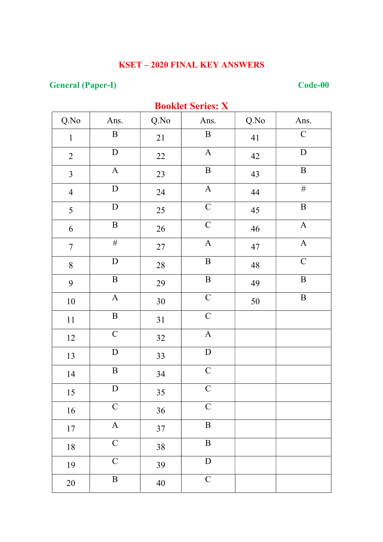# **General (Paper-I)**

### $Code-00$

| DOOKIEL SEFIES: $\Lambda$ |                           |        |                           |             |              |  |  |
|---------------------------|---------------------------|--------|---------------------------|-------------|--------------|--|--|
| Q.No                      | Ans.                      | Q.No   | Ans.                      | Q.No        | Ans.         |  |  |
| $\mathbf{1}$              | $\, {\bf B}$              | 21     | $\, {\bf B}$              | 41          | $\mathsf C$  |  |  |
| $\overline{2}$            | ${\bf D}$                 | 22     | $\boldsymbol{\mathsf{A}}$ | 42          | $\mathbf D$  |  |  |
| $\mathfrak{Z}$            | $\mathbf A$               | 23     | $\, {\bf B}$              | 43          | $\, {\bf B}$ |  |  |
| $\overline{4}$            | ${\bf D}$                 | 24     | $\mathbf A$               | 44          | $\#$         |  |  |
| 5                         | ${\bf D}$                 | 25     | $\overline{C}$            | 45          | $\, {\bf B}$ |  |  |
| 6                         | $\, {\bf B}$              | 26     | $\overline{C}$            | 46          | $\mathbf A$  |  |  |
| $\tau$                    | $\#$                      | 27     | $\mathbf A$               | 47          | $\mathbf{A}$ |  |  |
| $\, 8$                    | $\mathbf D$               | $28\,$ | $\, {\bf B}$              | $\sqrt{48}$ | $\mathbf C$  |  |  |
| 9                         | $\, {\bf B}$              | 29     | $\, {\bf B}$              | 49          | $\, {\bf B}$ |  |  |
| $10\,$                    | $\mathbf{A}$              | $30\,$ | $\mathbf C$               | 50          | $\, {\bf B}$ |  |  |
| $11\,$                    | $\overline{B}$            | 31     | $\overline{C}$            |             |              |  |  |
| 12                        | $\mathbf C$               | 32     | $\boldsymbol{A}$          |             |              |  |  |
| 13                        | ${\bf D}$                 | 33     | ${\bf D}$                 |             |              |  |  |
| 14                        | $\, {\bf B}$              | 34     | $\mathbf C$               |             |              |  |  |
| 15                        | $\label{eq:1} \mathbf{D}$ | 35     | $\overline{C}$            |             |              |  |  |
| 16                        | $\mathsf C$               | 36     | $\mathbf C$               |             |              |  |  |
| 17                        | $\mathbf A$               | 37     | $\, {\bf B}$              |             |              |  |  |
| $18\,$                    | $\overline{C}$            | 38     | $\overline{B}$            |             |              |  |  |
| 19                        | $\mathbf C$               | 39     | ${\bf D}$                 |             |              |  |  |
| $20\,$                    | $\, {\bf B}$              | $40\,$ | $\mathbf C$               |             |              |  |  |

#### **Rooklet Series: Y**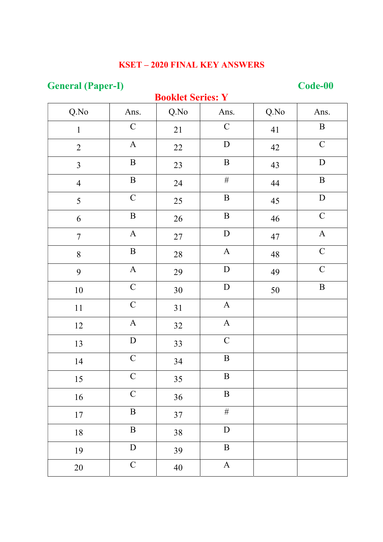# **General (Paper-I)**

## **Booklet Series: Y**

### Code-00

| Q.No           | Ans.           | DOOMAL DALIAS. T<br>Q.No | Ans.                      | Q.No        | Ans.                      |
|----------------|----------------|--------------------------|---------------------------|-------------|---------------------------|
| $\mathbf{1}$   | $\mathbf C$    | 21                       | $\mathbf C$               | 41          | $\, {\bf B}$              |
| $\overline{2}$ | $\mathbf{A}$   | 22                       | $\mathbf D$               | 42          | $\mathbf C$               |
| $\overline{3}$ | $\, {\bf B}$   | 23                       | $\, {\bf B}$              | 43          | $\label{eq:1} \mathbf{D}$ |
| $\overline{4}$ | $\, {\bf B}$   | 24                       | $\#$                      | $44\,$      | $\, {\bf B}$              |
| 5              | $\mathsf C$    | 25                       | $\, {\bf B}$              | 45          | $\label{eq:1} \mathbf{D}$ |
| 6              | $\, {\bf B}$   | 26                       | $\, {\bf B}$              | 46          | $\mathbf C$               |
| $\tau$         | $\mathbf A$    | $27\,$                   | ${\bf D}$                 | $47\,$      | $\mathbf A$               |
| $8\,$          | $\, {\bf B}$   | 28                       | $\boldsymbol{A}$          | $\sqrt{48}$ | $\mathbf C$               |
| 9              | $\mathbf A$    | 29                       | $\label{eq:1} \mathbf{D}$ | 49          | $\mathbf C$               |
| $10\,$         | $\overline{C}$ | $30\,$                   | ${\bf D}$                 | $50\,$      | $\, {\bf B}$              |
| $11\,$         | $\mathbf C$    | 31                       | $\mathbf A$               |             |                           |
| 12             | $\mathbf A$    | 32                       | $\mathbf A$               |             |                           |
| 13             | ${\bf D}$      | 33                       | $\mathbf C$               |             |                           |
| 14             | $\mathbf C$    | 34                       | $\, {\bf B}$              |             |                           |
| 15             | $\mathbf C$    | 35                       | $\, {\bf B}$              |             |                           |
| 16             | $\mathbf C$    | 36                       | $\, {\bf B}$              |             |                           |
| $17\,$         | $\, {\bf B}$   | 37                       | $\#$                      |             |                           |
| $18\,$         | $\, {\bf B}$   | 38                       | ${\bf D}$                 |             |                           |
| 19             | ${\bf D}$      | 39                       | $\, {\bf B}$              |             |                           |
| 20             | $\mathbf C$    | 40                       | $\mathbf{A}$              |             |                           |